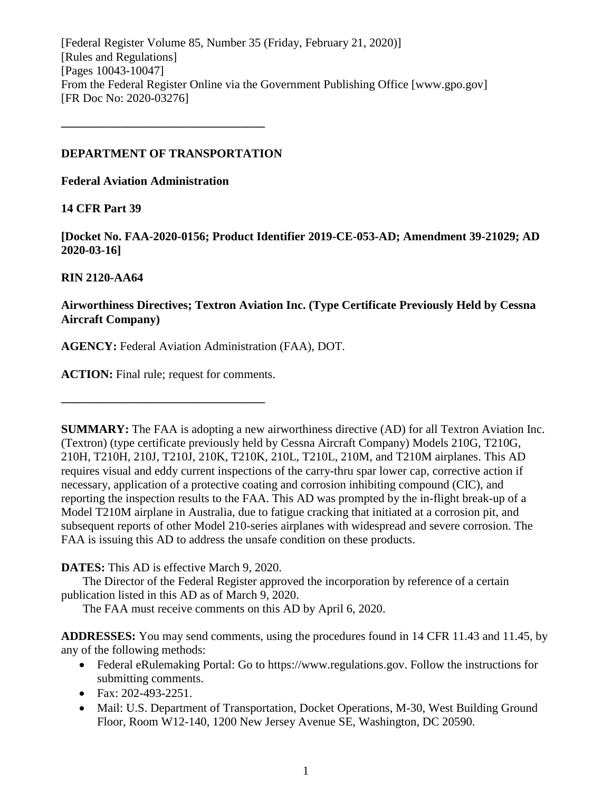[Federal Register Volume 85, Number 35 (Friday, February 21, 2020)] [Rules and Regulations] [Pages 10043-10047] From the Federal Register Online via the Government Publishing Office [www.gpo.gov] [FR Doc No: 2020-03276]

# **DEPARTMENT OF TRANSPORTATION**

**––––––––––––––––––––––––––––––––––**

**Federal Aviation Administration**

# **14 CFR Part 39**

**[Docket No. FAA-2020-0156; Product Identifier 2019-CE-053-AD; Amendment 39-21029; AD 2020-03-16]**

# **RIN 2120-AA64**

# **Airworthiness Directives; Textron Aviation Inc. (Type Certificate Previously Held by Cessna Aircraft Company)**

**AGENCY:** Federal Aviation Administration (FAA), DOT.

**ACTION:** Final rule; request for comments.

**––––––––––––––––––––––––––––––––––**

**SUMMARY:** The FAA is adopting a new airworthiness directive (AD) for all Textron Aviation Inc. (Textron) (type certificate previously held by Cessna Aircraft Company) Models 210G, T210G, 210H, T210H, 210J, T210J, 210K, T210K, 210L, T210L, 210M, and T210M airplanes. This AD requires visual and eddy current inspections of the carry-thru spar lower cap, corrective action if necessary, application of a protective coating and corrosion inhibiting compound (CIC), and reporting the inspection results to the FAA. This AD was prompted by the in-flight break-up of a Model T210M airplane in Australia, due to fatigue cracking that initiated at a corrosion pit, and subsequent reports of other Model 210-series airplanes with widespread and severe corrosion. The FAA is issuing this AD to address the unsafe condition on these products.

**DATES:** This AD is effective March 9, 2020.

The Director of the Federal Register approved the incorporation by reference of a certain publication listed in this AD as of March 9, 2020.

The FAA must receive comments on this AD by April 6, 2020.

**ADDRESSES:** You may send comments, using the procedures found in 14 CFR 11.43 and 11.45, by any of the following methods:

- Federal eRulemaking Portal: Go to https://www.regulations.gov. Follow the instructions for submitting comments.
- Fax: 202-493-2251.
- Mail: U.S. Department of Transportation, Docket Operations, M-30, West Building Ground Floor, Room W12-140, 1200 New Jersey Avenue SE, Washington, DC 20590.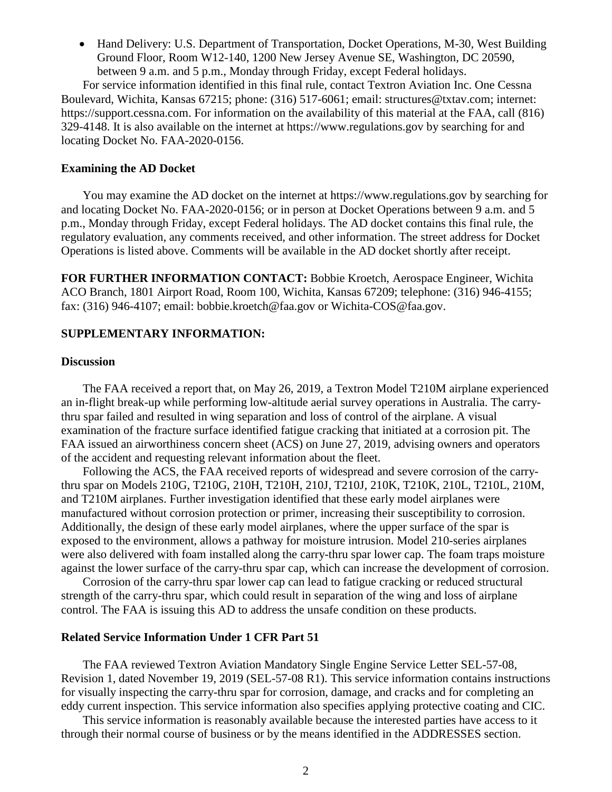• Hand Delivery: U.S. Department of Transportation, Docket Operations, M-30, West Building Ground Floor, Room W12-140, 1200 New Jersey Avenue SE, Washington, DC 20590, between 9 a.m. and 5 p.m., Monday through Friday, except Federal holidays.

For service information identified in this final rule, contact Textron Aviation Inc. One Cessna Boulevard, Wichita, Kansas 67215; phone: (316) 517-6061; email: structures@txtav.com; internet: https://support.cessna.com. For information on the availability of this material at the FAA, call (816) 329-4148. It is also available on the internet at https://www.regulations.gov by searching for and locating Docket No. FAA-2020-0156.

### **Examining the AD Docket**

You may examine the AD docket on the internet at https://www.regulations.gov by searching for and locating Docket No. FAA-2020-0156; or in person at Docket Operations between 9 a.m. and 5 p.m., Monday through Friday, except Federal holidays. The AD docket contains this final rule, the regulatory evaluation, any comments received, and other information. The street address for Docket Operations is listed above. Comments will be available in the AD docket shortly after receipt.

**FOR FURTHER INFORMATION CONTACT:** Bobbie Kroetch, Aerospace Engineer, Wichita ACO Branch, 1801 Airport Road, Room 100, Wichita, Kansas 67209; telephone: (316) 946-4155; fax: (316) 946-4107; email: bobbie.kroetch@faa.gov or Wichita-COS@faa.gov.

### **SUPPLEMENTARY INFORMATION:**

### **Discussion**

The FAA received a report that, on May 26, 2019, a Textron Model T210M airplane experienced an in-flight break-up while performing low-altitude aerial survey operations in Australia. The carrythru spar failed and resulted in wing separation and loss of control of the airplane. A visual examination of the fracture surface identified fatigue cracking that initiated at a corrosion pit. The FAA issued an airworthiness concern sheet (ACS) on June 27, 2019, advising owners and operators of the accident and requesting relevant information about the fleet.

Following the ACS, the FAA received reports of widespread and severe corrosion of the carrythru spar on Models 210G, T210G, 210H, T210H, 210J, T210J, 210K, T210K, 210L, T210L, 210M, and T210M airplanes. Further investigation identified that these early model airplanes were manufactured without corrosion protection or primer, increasing their susceptibility to corrosion. Additionally, the design of these early model airplanes, where the upper surface of the spar is exposed to the environment, allows a pathway for moisture intrusion. Model 210-series airplanes were also delivered with foam installed along the carry-thru spar lower cap. The foam traps moisture against the lower surface of the carry-thru spar cap, which can increase the development of corrosion.

Corrosion of the carry-thru spar lower cap can lead to fatigue cracking or reduced structural strength of the carry-thru spar, which could result in separation of the wing and loss of airplane control. The FAA is issuing this AD to address the unsafe condition on these products.

### **Related Service Information Under 1 CFR Part 51**

The FAA reviewed Textron Aviation Mandatory Single Engine Service Letter SEL-57-08, Revision 1, dated November 19, 2019 (SEL-57-08 R1). This service information contains instructions for visually inspecting the carry-thru spar for corrosion, damage, and cracks and for completing an eddy current inspection. This service information also specifies applying protective coating and CIC.

This service information is reasonably available because the interested parties have access to it through their normal course of business or by the means identified in the ADDRESSES section.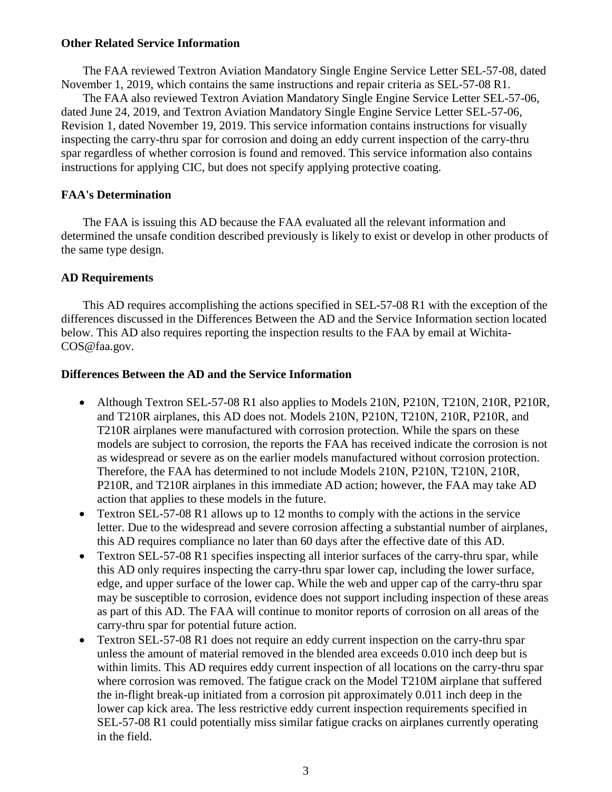# **Other Related Service Information**

The FAA reviewed Textron Aviation Mandatory Single Engine Service Letter SEL-57-08, dated November 1, 2019, which contains the same instructions and repair criteria as SEL-57-08 R1.

The FAA also reviewed Textron Aviation Mandatory Single Engine Service Letter SEL-57-06, dated June 24, 2019, and Textron Aviation Mandatory Single Engine Service Letter SEL-57-06, Revision 1, dated November 19, 2019. This service information contains instructions for visually inspecting the carry-thru spar for corrosion and doing an eddy current inspection of the carry-thru spar regardless of whether corrosion is found and removed. This service information also contains instructions for applying CIC, but does not specify applying protective coating.

# **FAA's Determination**

The FAA is issuing this AD because the FAA evaluated all the relevant information and determined the unsafe condition described previously is likely to exist or develop in other products of the same type design.

# **AD Requirements**

This AD requires accomplishing the actions specified in SEL-57-08 R1 with the exception of the differences discussed in the Differences Between the AD and the Service Information section located below. This AD also requires reporting the inspection results to the FAA by email at Wichita-COS@faa.gov.

# **Differences Between the AD and the Service Information**

- Although Textron SEL-57-08 R1 also applies to Models 210N, P210N, T210N, 210R, P210R, and T210R airplanes, this AD does not. Models 210N, P210N, T210N, 210R, P210R, and T210R airplanes were manufactured with corrosion protection. While the spars on these models are subject to corrosion, the reports the FAA has received indicate the corrosion is not as widespread or severe as on the earlier models manufactured without corrosion protection. Therefore, the FAA has determined to not include Models 210N, P210N, T210N, 210R, P210R, and T210R airplanes in this immediate AD action; however, the FAA may take AD action that applies to these models in the future.
- Textron SEL-57-08 R1 allows up to 12 months to comply with the actions in the service letter. Due to the widespread and severe corrosion affecting a substantial number of airplanes, this AD requires compliance no later than 60 days after the effective date of this AD.
- Textron SEL-57-08 R1 specifies inspecting all interior surfaces of the carry-thru spar, while this AD only requires inspecting the carry-thru spar lower cap, including the lower surface, edge, and upper surface of the lower cap. While the web and upper cap of the carry-thru spar may be susceptible to corrosion, evidence does not support including inspection of these areas as part of this AD. The FAA will continue to monitor reports of corrosion on all areas of the carry-thru spar for potential future action.
- Textron SEL-57-08 R1 does not require an eddy current inspection on the carry-thru spar unless the amount of material removed in the blended area exceeds 0.010 inch deep but is within limits. This AD requires eddy current inspection of all locations on the carry-thru spar where corrosion was removed. The fatigue crack on the Model T210M airplane that suffered the in-flight break-up initiated from a corrosion pit approximately 0.011 inch deep in the lower cap kick area. The less restrictive eddy current inspection requirements specified in SEL-57-08 R1 could potentially miss similar fatigue cracks on airplanes currently operating in the field.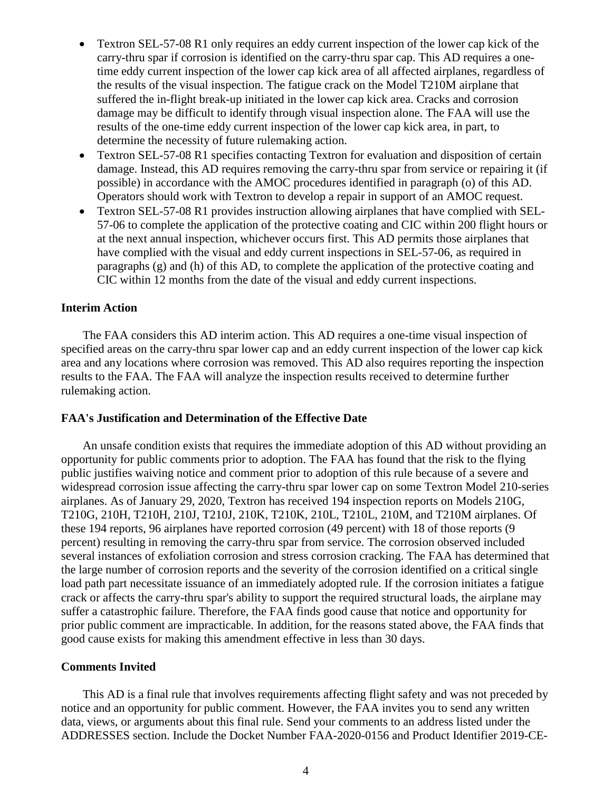- Textron SEL-57-08 R1 only requires an eddy current inspection of the lower cap kick of the carry-thru spar if corrosion is identified on the carry-thru spar cap. This AD requires a onetime eddy current inspection of the lower cap kick area of all affected airplanes, regardless of the results of the visual inspection. The fatigue crack on the Model T210M airplane that suffered the in-flight break-up initiated in the lower cap kick area. Cracks and corrosion damage may be difficult to identify through visual inspection alone. The FAA will use the results of the one-time eddy current inspection of the lower cap kick area, in part, to determine the necessity of future rulemaking action.
- Textron SEL-57-08 R1 specifies contacting Textron for evaluation and disposition of certain damage. Instead, this AD requires removing the carry-thru spar from service or repairing it (if possible) in accordance with the AMOC procedures identified in paragraph (o) of this AD. Operators should work with Textron to develop a repair in support of an AMOC request.
- Textron SEL-57-08 R1 provides instruction allowing airplanes that have complied with SEL-57-06 to complete the application of the protective coating and CIC within 200 flight hours or at the next annual inspection, whichever occurs first. This AD permits those airplanes that have complied with the visual and eddy current inspections in SEL-57-06, as required in paragraphs (g) and (h) of this AD, to complete the application of the protective coating and CIC within 12 months from the date of the visual and eddy current inspections.

## **Interim Action**

The FAA considers this AD interim action. This AD requires a one-time visual inspection of specified areas on the carry-thru spar lower cap and an eddy current inspection of the lower cap kick area and any locations where corrosion was removed. This AD also requires reporting the inspection results to the FAA. The FAA will analyze the inspection results received to determine further rulemaking action.

## **FAA's Justification and Determination of the Effective Date**

An unsafe condition exists that requires the immediate adoption of this AD without providing an opportunity for public comments prior to adoption. The FAA has found that the risk to the flying public justifies waiving notice and comment prior to adoption of this rule because of a severe and widespread corrosion issue affecting the carry-thru spar lower cap on some Textron Model 210-series airplanes. As of January 29, 2020, Textron has received 194 inspection reports on Models 210G, T210G, 210H, T210H, 210J, T210J, 210K, T210K, 210L, T210L, 210M, and T210M airplanes. Of these 194 reports, 96 airplanes have reported corrosion (49 percent) with 18 of those reports (9 percent) resulting in removing the carry-thru spar from service. The corrosion observed included several instances of exfoliation corrosion and stress corrosion cracking. The FAA has determined that the large number of corrosion reports and the severity of the corrosion identified on a critical single load path part necessitate issuance of an immediately adopted rule. If the corrosion initiates a fatigue crack or affects the carry-thru spar's ability to support the required structural loads, the airplane may suffer a catastrophic failure. Therefore, the FAA finds good cause that notice and opportunity for prior public comment are impracticable. In addition, for the reasons stated above, the FAA finds that good cause exists for making this amendment effective in less than 30 days.

### **Comments Invited**

This AD is a final rule that involves requirements affecting flight safety and was not preceded by notice and an opportunity for public comment. However, the FAA invites you to send any written data, views, or arguments about this final rule. Send your comments to an address listed under the ADDRESSES section. Include the Docket Number FAA-2020-0156 and Product Identifier 2019-CE-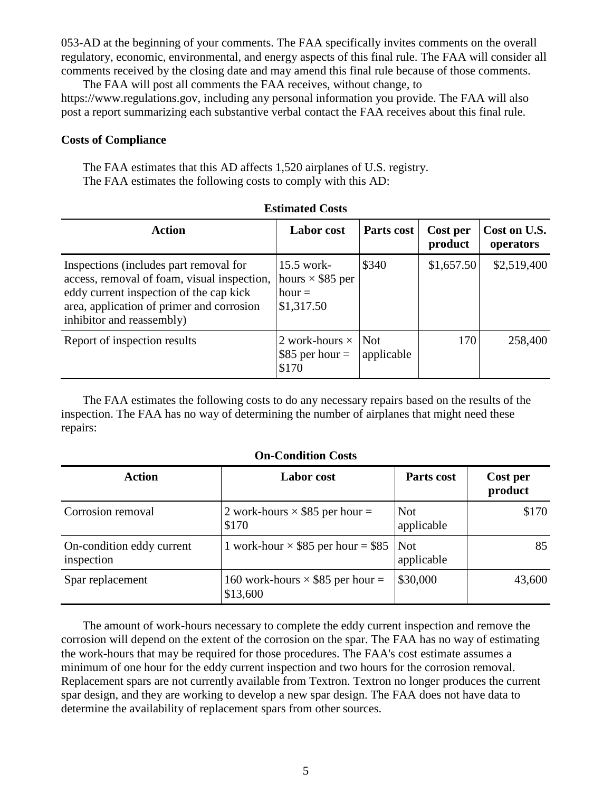053-AD at the beginning of your comments. The FAA specifically invites comments on the overall regulatory, economic, environmental, and energy aspects of this final rule. The FAA will consider all comments received by the closing date and may amend this final rule because of those comments.

The FAA will post all comments the FAA receives, without change, to https://www.regulations.gov, including any personal information you provide. The FAA will also post a report summarizing each substantive verbal contact the FAA receives about this final rule.

### **Costs of Compliance**

The FAA estimates that this AD affects 1,520 airplanes of U.S. registry. The FAA estimates the following costs to comply with this AD:

| <b>Action</b>                                                                                                                                                                                              | Labor cost                                                        | Parts cost | Cost per<br>product | Cost on U.S.<br>operators |
|------------------------------------------------------------------------------------------------------------------------------------------------------------------------------------------------------------|-------------------------------------------------------------------|------------|---------------------|---------------------------|
| Inspections (includes part removal for<br>access, removal of foam, visual inspection,<br>eddy current inspection of the cap kick<br>area, application of primer and corrosion<br>inhibitor and reassembly) | $15.5$ work-<br>hours $\times$ \$85 per<br>$hour =$<br>\$1,317.50 | \$340      | \$1,657.50          | \$2,519,400               |
| Report of inspection results                                                                                                                                                                               | 2 work-hours $\times$ Not<br>$\frac{1}{885}$ per hour =<br>\$170  | applicable | 170                 | 258,400                   |

**Estimated Costs**

The FAA estimates the following costs to do any necessary repairs based on the results of the inspection. The FAA has no way of determining the number of airplanes that might need these repairs:

| <b>Action</b>                           | <b>Labor</b> cost                                   | Parts cost                | Cost per<br>product |
|-----------------------------------------|-----------------------------------------------------|---------------------------|---------------------|
| Corrosion removal                       | 2 work-hours $\times$ \$85 per hour =<br>\$170      | <b>Not</b><br>applicable  | \$170               |
| On-condition eddy current<br>inspection | 1 work-hour $\times$ \$85 per hour = \$85           | $\vert$ Not<br>applicable | 85                  |
| Spar replacement                        | 160 work-hours $\times$ \$85 per hour =<br>\$13,600 | \$30,000                  | 43,600              |

### **On-Condition Costs**

The amount of work-hours necessary to complete the eddy current inspection and remove the corrosion will depend on the extent of the corrosion on the spar. The FAA has no way of estimating the work-hours that may be required for those procedures. The FAA's cost estimate assumes a minimum of one hour for the eddy current inspection and two hours for the corrosion removal. Replacement spars are not currently available from Textron. Textron no longer produces the current spar design, and they are working to develop a new spar design. The FAA does not have data to determine the availability of replacement spars from other sources.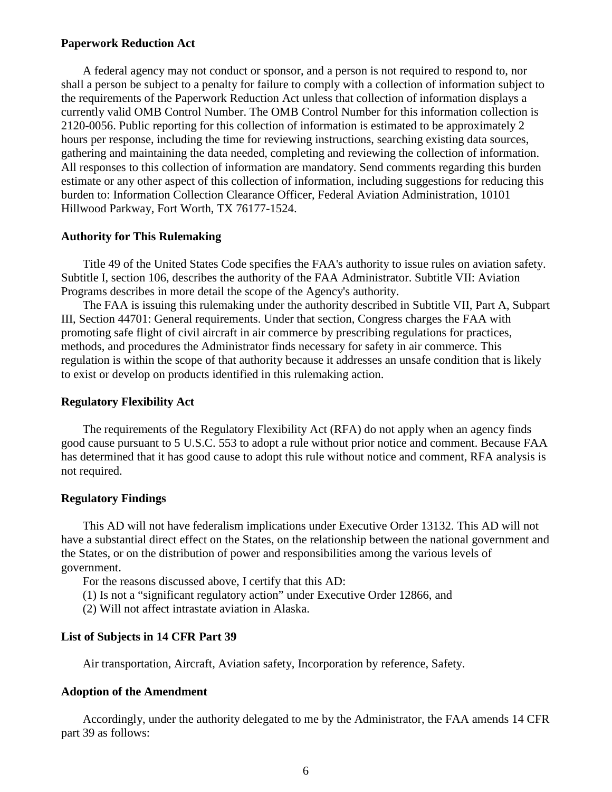### **Paperwork Reduction Act**

A federal agency may not conduct or sponsor, and a person is not required to respond to, nor shall a person be subject to a penalty for failure to comply with a collection of information subject to the requirements of the Paperwork Reduction Act unless that collection of information displays a currently valid OMB Control Number. The OMB Control Number for this information collection is 2120-0056. Public reporting for this collection of information is estimated to be approximately 2 hours per response, including the time for reviewing instructions, searching existing data sources, gathering and maintaining the data needed, completing and reviewing the collection of information. All responses to this collection of information are mandatory. Send comments regarding this burden estimate or any other aspect of this collection of information, including suggestions for reducing this burden to: Information Collection Clearance Officer, Federal Aviation Administration, 10101 Hillwood Parkway, Fort Worth, TX 76177-1524.

### **Authority for This Rulemaking**

Title 49 of the United States Code specifies the FAA's authority to issue rules on aviation safety. Subtitle I, section 106, describes the authority of the FAA Administrator. Subtitle VII: Aviation Programs describes in more detail the scope of the Agency's authority.

The FAA is issuing this rulemaking under the authority described in Subtitle VII, Part A, Subpart III, Section 44701: General requirements. Under that section, Congress charges the FAA with promoting safe flight of civil aircraft in air commerce by prescribing regulations for practices, methods, and procedures the Administrator finds necessary for safety in air commerce. This regulation is within the scope of that authority because it addresses an unsafe condition that is likely to exist or develop on products identified in this rulemaking action.

### **Regulatory Flexibility Act**

The requirements of the Regulatory Flexibility Act (RFA) do not apply when an agency finds good cause pursuant to 5 U.S.C. 553 to adopt a rule without prior notice and comment. Because FAA has determined that it has good cause to adopt this rule without notice and comment, RFA analysis is not required.

# **Regulatory Findings**

This AD will not have federalism implications under Executive Order 13132. This AD will not have a substantial direct effect on the States, on the relationship between the national government and the States, or on the distribution of power and responsibilities among the various levels of government.

For the reasons discussed above, I certify that this AD:

- (1) Is not a "significant regulatory action" under Executive Order 12866, and
- (2) Will not affect intrastate aviation in Alaska.

### **List of Subjects in 14 CFR Part 39**

Air transportation, Aircraft, Aviation safety, Incorporation by reference, Safety.

### **Adoption of the Amendment**

Accordingly, under the authority delegated to me by the Administrator, the FAA amends 14 CFR part 39 as follows: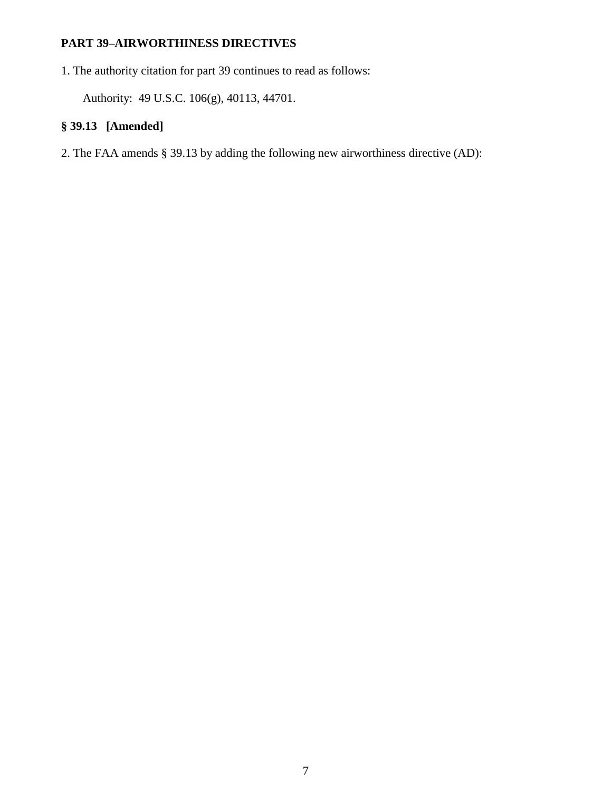# **PART 39–AIRWORTHINESS DIRECTIVES**

1. The authority citation for part 39 continues to read as follows:

Authority: 49 U.S.C. 106(g), 40113, 44701.

# **§ 39.13 [Amended]**

2. The FAA amends § 39.13 by adding the following new airworthiness directive (AD):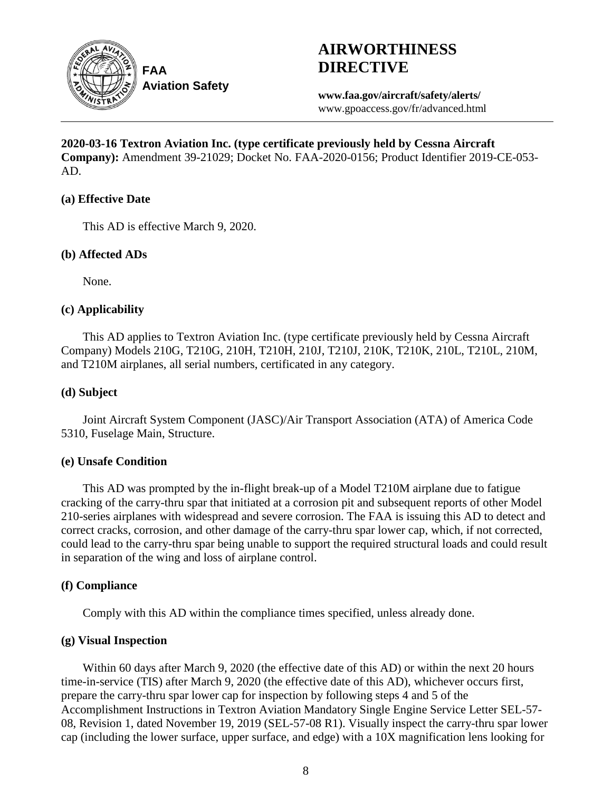

# **AIRWORTHINESS DIRECTIVE**

**www.faa.gov/aircraft/safety/alerts/** www.gpoaccess.gov/fr/advanced.html

**2020-03-16 Textron Aviation Inc. (type certificate previously held by Cessna Aircraft Company):** Amendment 39-21029; Docket No. FAA-2020-0156; Product Identifier 2019-CE-053- AD.

# **(a) Effective Date**

This AD is effective March 9, 2020.

# **(b) Affected ADs**

None.

# **(c) Applicability**

This AD applies to Textron Aviation Inc. (type certificate previously held by Cessna Aircraft Company) Models 210G, T210G, 210H, T210H, 210J, T210J, 210K, T210K, 210L, T210L, 210M, and T210M airplanes, all serial numbers, certificated in any category.

# **(d) Subject**

Joint Aircraft System Component (JASC)/Air Transport Association (ATA) of America Code 5310, Fuselage Main, Structure.

# **(e) Unsafe Condition**

This AD was prompted by the in-flight break-up of a Model T210M airplane due to fatigue cracking of the carry-thru spar that initiated at a corrosion pit and subsequent reports of other Model 210-series airplanes with widespread and severe corrosion. The FAA is issuing this AD to detect and correct cracks, corrosion, and other damage of the carry-thru spar lower cap, which, if not corrected, could lead to the carry-thru spar being unable to support the required structural loads and could result in separation of the wing and loss of airplane control.

# **(f) Compliance**

Comply with this AD within the compliance times specified, unless already done.

# **(g) Visual Inspection**

Within 60 days after March 9, 2020 (the effective date of this AD) or within the next 20 hours time-in-service (TIS) after March 9, 2020 (the effective date of this AD), whichever occurs first, prepare the carry-thru spar lower cap for inspection by following steps 4 and 5 of the Accomplishment Instructions in Textron Aviation Mandatory Single Engine Service Letter SEL-57- 08, Revision 1, dated November 19, 2019 (SEL-57-08 R1). Visually inspect the carry-thru spar lower cap (including the lower surface, upper surface, and edge) with a 10X magnification lens looking for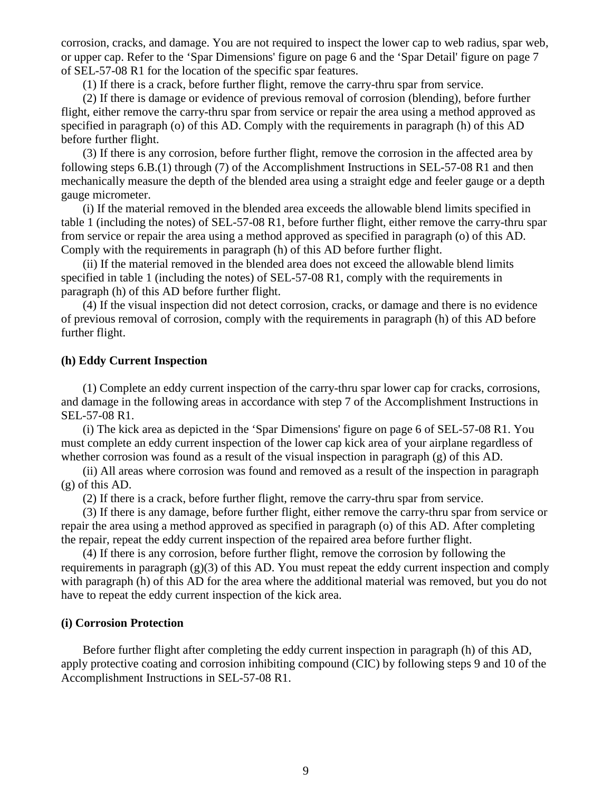corrosion, cracks, and damage. You are not required to inspect the lower cap to web radius, spar web, or upper cap. Refer to the 'Spar Dimensions' figure on page 6 and the 'Spar Detail' figure on page 7 of SEL-57-08 R1 for the location of the specific spar features.

(1) If there is a crack, before further flight, remove the carry-thru spar from service.

(2) If there is damage or evidence of previous removal of corrosion (blending), before further flight, either remove the carry-thru spar from service or repair the area using a method approved as specified in paragraph (o) of this AD. Comply with the requirements in paragraph (h) of this AD before further flight.

(3) If there is any corrosion, before further flight, remove the corrosion in the affected area by following steps 6.B.(1) through (7) of the Accomplishment Instructions in SEL-57-08 R1 and then mechanically measure the depth of the blended area using a straight edge and feeler gauge or a depth gauge micrometer.

(i) If the material removed in the blended area exceeds the allowable blend limits specified in table 1 (including the notes) of SEL-57-08 R1, before further flight, either remove the carry-thru spar from service or repair the area using a method approved as specified in paragraph (o) of this AD. Comply with the requirements in paragraph (h) of this AD before further flight.

(ii) If the material removed in the blended area does not exceed the allowable blend limits specified in table 1 (including the notes) of SEL-57-08 R1, comply with the requirements in paragraph (h) of this AD before further flight.

(4) If the visual inspection did not detect corrosion, cracks, or damage and there is no evidence of previous removal of corrosion, comply with the requirements in paragraph (h) of this AD before further flight.

### **(h) Eddy Current Inspection**

(1) Complete an eddy current inspection of the carry-thru spar lower cap for cracks, corrosions, and damage in the following areas in accordance with step 7 of the Accomplishment Instructions in SEL-57-08 R1.

(i) The kick area as depicted in the 'Spar Dimensions' figure on page 6 of SEL-57-08 R1. You must complete an eddy current inspection of the lower cap kick area of your airplane regardless of whether corrosion was found as a result of the visual inspection in paragraph (g) of this AD.

(ii) All areas where corrosion was found and removed as a result of the inspection in paragraph (g) of this AD.

(2) If there is a crack, before further flight, remove the carry-thru spar from service.

(3) If there is any damage, before further flight, either remove the carry-thru spar from service or repair the area using a method approved as specified in paragraph (o) of this AD. After completing the repair, repeat the eddy current inspection of the repaired area before further flight.

(4) If there is any corrosion, before further flight, remove the corrosion by following the requirements in paragraph (g)(3) of this AD. You must repeat the eddy current inspection and comply with paragraph (h) of this AD for the area where the additional material was removed, but you do not have to repeat the eddy current inspection of the kick area.

### **(i) Corrosion Protection**

Before further flight after completing the eddy current inspection in paragraph (h) of this AD, apply protective coating and corrosion inhibiting compound (CIC) by following steps 9 and 10 of the Accomplishment Instructions in SEL-57-08 R1.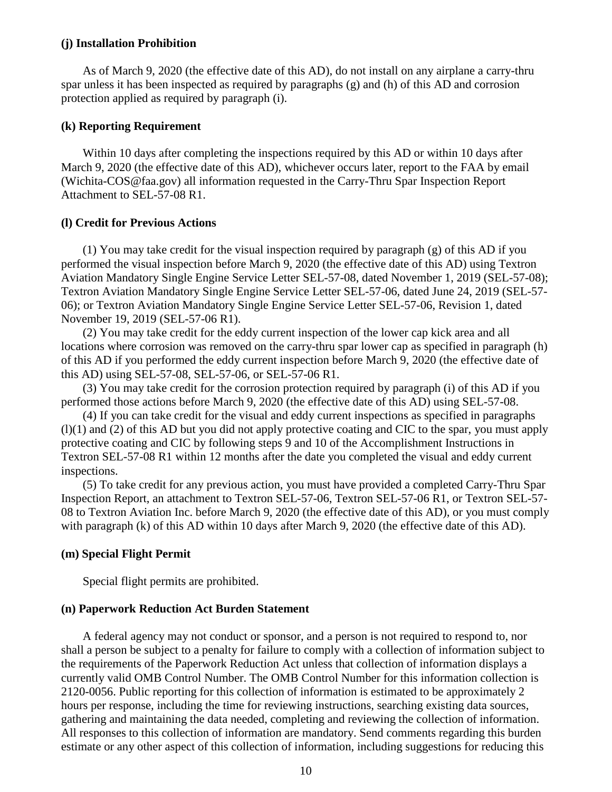### **(j) Installation Prohibition**

As of March 9, 2020 (the effective date of this AD), do not install on any airplane a carry-thru spar unless it has been inspected as required by paragraphs (g) and (h) of this AD and corrosion protection applied as required by paragraph (i).

### **(k) Reporting Requirement**

Within 10 days after completing the inspections required by this AD or within 10 days after March 9, 2020 (the effective date of this AD), whichever occurs later, report to the FAA by email (Wichita-COS@faa.gov) all information requested in the Carry-Thru Spar Inspection Report Attachment to SEL-57-08 R1.

### **(l) Credit for Previous Actions**

(1) You may take credit for the visual inspection required by paragraph (g) of this AD if you performed the visual inspection before March 9, 2020 (the effective date of this AD) using Textron Aviation Mandatory Single Engine Service Letter SEL-57-08, dated November 1, 2019 (SEL-57-08); Textron Aviation Mandatory Single Engine Service Letter SEL-57-06, dated June 24, 2019 (SEL-57- 06); or Textron Aviation Mandatory Single Engine Service Letter SEL-57-06, Revision 1, dated November 19, 2019 (SEL-57-06 R1).

(2) You may take credit for the eddy current inspection of the lower cap kick area and all locations where corrosion was removed on the carry-thru spar lower cap as specified in paragraph (h) of this AD if you performed the eddy current inspection before March 9, 2020 (the effective date of this AD) using SEL-57-08, SEL-57-06, or SEL-57-06 R1.

(3) You may take credit for the corrosion protection required by paragraph (i) of this AD if you performed those actions before March 9, 2020 (the effective date of this AD) using SEL-57-08.

(4) If you can take credit for the visual and eddy current inspections as specified in paragraphs (l)(1) and (2) of this AD but you did not apply protective coating and CIC to the spar, you must apply protective coating and CIC by following steps 9 and 10 of the Accomplishment Instructions in Textron SEL-57-08 R1 within 12 months after the date you completed the visual and eddy current inspections.

(5) To take credit for any previous action, you must have provided a completed Carry-Thru Spar Inspection Report, an attachment to Textron SEL-57-06, Textron SEL-57-06 R1, or Textron SEL-57- 08 to Textron Aviation Inc. before March 9, 2020 (the effective date of this AD), or you must comply with paragraph (k) of this AD within 10 days after March 9, 2020 (the effective date of this AD).

### **(m) Special Flight Permit**

Special flight permits are prohibited.

### **(n) Paperwork Reduction Act Burden Statement**

A federal agency may not conduct or sponsor, and a person is not required to respond to, nor shall a person be subject to a penalty for failure to comply with a collection of information subject to the requirements of the Paperwork Reduction Act unless that collection of information displays a currently valid OMB Control Number. The OMB Control Number for this information collection is 2120-0056. Public reporting for this collection of information is estimated to be approximately 2 hours per response, including the time for reviewing instructions, searching existing data sources, gathering and maintaining the data needed, completing and reviewing the collection of information. All responses to this collection of information are mandatory. Send comments regarding this burden estimate or any other aspect of this collection of information, including suggestions for reducing this